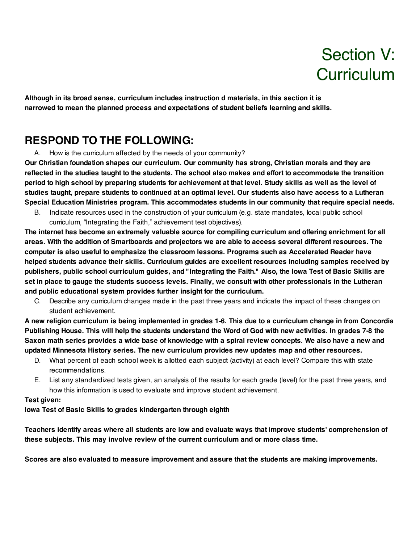# Section V: **Curriculum**

**Although in its broad sense, curriculum includes instruction d materials, in this section it is narrowed to mean the planned process and expectations of student beliefs learning and skills.**

# **RESPOND TO THE FOLLOWING:**

A. How is the curriculum affected by the needs of your community?

**Our Christian foundation shapes our curriculum. Our community has strong, Christian morals and they are** reflected in the studies taught to the students. The school also makes and effort to accommodate the transition period to high school by preparing students for achievement at that level. Study skills as well as the level of studies taught, prepare students to continued at an optimal level. Our students also have access to a Lutheran **Special Education Ministries program. This accommodates students in our community that require special needs.**

B. Indicate resources used in the construction of your curriculum (e.g. state mandates, local public school curriculum, "Integrating the Faith," achievement test objectives).

**The internet has become an extremely valuable source for compiling curriculum and offering enrichment for all** areas. With the addition of Smartboards and projectors we are able to access several different resources. The **computer is also useful to emphasize the classroom lessons. Programs such as Accelerated Reader have helped students advance their skills. Curriculum guides are excellent resources including samples received by** publishers, public school curriculum guides, and "Integrating the Faith." Also, the lowa Test of Basic Skills are set in place to gauge the students success levels. Finally, we consult with other professionals in the Lutheran **and public educational system provides further insight for the curriculum.**

C. Describe any curriculum changes made in the past three years and indicate the impact of these changes on student achievement.

A new religion curriculum is being implemented in grades 1-6. This due to a curriculum change in from Concordia Publishing House. This will help the students understand the Word of God with new activities. In grades 7-8 the Saxon math series provides a wide base of knowledge with a spiral review concepts. We also have a new and **updated Minnesota History series. The new curriculum provides new updates map and other resources.**

- D. What percent of each school week is allotted each subject (activity) at each level? Compare this with state recommendations.
- E. List any standardized tests given, an analysis of the results for each grade (level) for the past three years, and how this information is used to evaluate and improve student achievement.

#### **Test given:**

**Iowa Test of Basic Skills to grades kindergarten through eighth**

**Teachers identify areas where all students are low and evaluate ways that improve students' comprehension of these subjects. This may involve review of the current curriculum and or more class time.**

**Scores are also evaluated to measure improvement and assure that the students are making improvements.**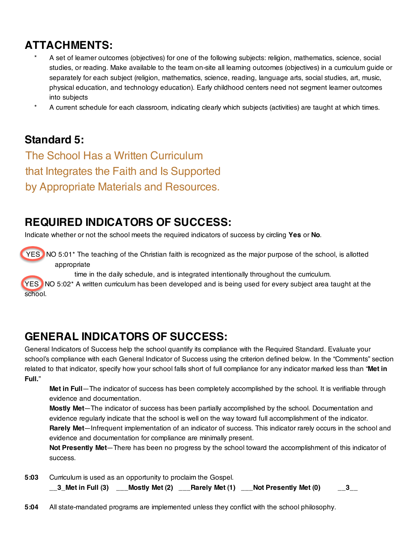# **ATTACHMENTS:**

- A set of learner outcomes (objectives) for one of the following subjects: religion, mathematics, science, social studies, or reading. Make available to the team on-site all learning outcomes (objectives) in a curriculum guide or separately for each subject (religion, mathematics, science, reading, language arts, social studies, art, music, physical education, and technology education). Early childhood centers need not segment learner outcomes into subjects
- A current schedule for each classroom, indicating clearly which subjects (activities) are taught at which times.

# **Standard 5:**

The School Has a Written Curriculum that Integrates the Faith and Is Supported by Appropriate Materials and Resources.

# **REQUIRED INDICATORS OF SUCCESS:**

Indicate whether or not the school meets the required indicators of success by circling **Yes** or **No**.

YES NO 5:01\* The teaching of the Christian faith is recognized as the major purpose of the school, is allotted appropriate

time in the daily schedule, and is integrated intentionally throughout the curriculum.

YES NO 5:02\* A written curriculum has been developed and is being used for every subject area taught at the school.

# **GENERAL INDICATORS OF SUCCESS:**

General Indicators of Success help the school quantify its compliance with the Required Standard. Evaluate your school's compliance with each General Indicator of Success using the criterion defined below. In the "Comments" section related to that indicator, specify how your school falls short of full compliance for any indicator marked less than "**Met in Full.**"

**Met in Full**—The indicator of success has been completely accomplished by the school. It is verifiable through evidence and documentation.

**Mostly Met**—The indicator of success has been partially accomplished by the school. Documentation and evidence regularly indicate that the school is well on the way toward full accomplishment of the indicator. **Rarely Met**—Infrequent implementation of an indicator of success. This indicator rarely occurs in the school and evidence and documentation for compliance are minimally present.

**Not Presently Met**—There has been no progress by the school toward the accomplishment of this indicator of success.

- **5:03** Curriculum is used as an opportunity to proclaim the Gospel. **\_\_3\_Met in Full (3) \_\_\_Mostly Met (2) \_\_\_Rarely Met (1) \_\_\_Not Presently Met (0) \_\_3\_\_**
- **5:04** All state-mandated programs are implemented unless they conflict with the school philosophy.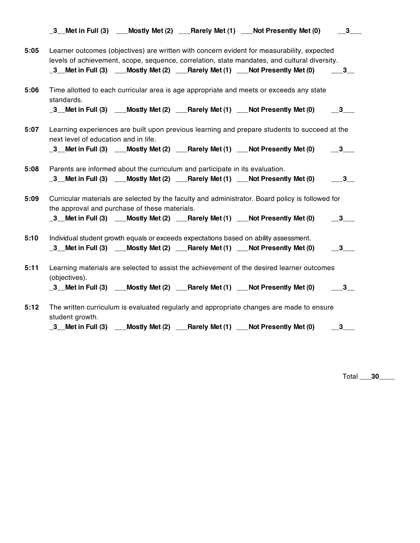|      |                                                                                       |  | $\_\frac{3}{2}$ Met in Full (3) $\_\_\$ Mostly Met (2) $\_\_\$ Rarely Met (1) $\_\_\$ Not Presently Met (0)                                                                                                                                                                | $\overline{\mathbf{3}}$      |
|------|---------------------------------------------------------------------------------------|--|----------------------------------------------------------------------------------------------------------------------------------------------------------------------------------------------------------------------------------------------------------------------------|------------------------------|
| 5:05 |                                                                                       |  | Learner outcomes (objectives) are written with concern evident for measurability, expected<br>levels of achievement, scope, sequence, correlation, state mandates, and cultural diversity.<br>_3 Met in Full (3) __Mostly Met (2) __Rarely Met (1) __Not Presently Met (0) | $-3$                         |
| 5:06 | standards.                                                                            |  | Time allotted to each curricular area is age appropriate and meets or exceeds any state<br>_3__Met in Full (3) $\quad$ __Mostly Met (2) $\quad$ __Rarely Met (1) $\quad$ __Not Presently Met (0) $\quad$ $\quad$ _3__                                                      |                              |
| 5:07 | next level of education and in life.                                                  |  | Learning experiences are built upon previous learning and prepare students to succeed at the<br>_3_Met in Full (3) ___Mostly Met (2) ___Rarely Met (1) ___Not Presently Met (0)                                                                                            | $\overline{\mathbf{3}}$      |
| 5:08 | Parents are informed about the curriculum and participate in its evaluation.          |  | _3_Met in Full (3) ___Mostly Met (2) ___Rarely Met (1) ___Not Presently Met (0)                                                                                                                                                                                            | $\overline{\mathbf{3}}$      |
| 5:09 | the approval and purchase of these materials.                                         |  | Curricular materials are selected by the faculty and administrator. Board policy is followed for<br>_3_Met in Full (3) ___Mostly Met (2) ___Rarely Met (1) __Not Presently Met (0)                                                                                         | $-3$                         |
| 5:10 | Individual student growth equals or exceeds expectations based on ability assessment. |  | _3 Met in Full (3) ___Mostly Met (2) ___Rarely Met (1) ___Not Presently Met (0)                                                                                                                                                                                            | $\overline{\mathbf{3}}$      |
| 5:11 | (objectives).                                                                         |  | Learning materials are selected to assist the achievement of the desired learner outcomes<br>_3__Met in Full (3) ___Mostly Met (2) ___Rarely Met (1) ___Not Presently Met (0)                                                                                              | $\overline{\mathbf{3}}$      |
| 5:12 | student growth.                                                                       |  | The written curriculum is evaluated regularly and appropriate changes are made to ensure<br>_3 Met in Full (3) ___Mostly Met (2) ___Rarely Met (1) ___Not Presently Met (0)                                                                                                | $\overline{\phantom{1}}^{3}$ |

Total \_\_\_**30**\_\_\_\_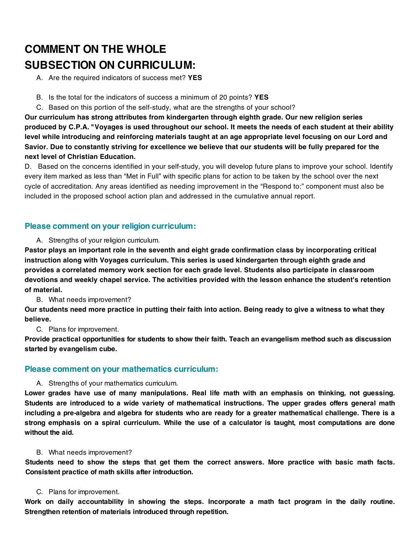# **COMMENT ON THE WHOLE SUBSECTION ON CURRICULUM:**

A. Are the required indicators of success met? **YES**

- B. Is the total for the indicators of success a minimum of 20 points? **YES**
- C. Based on this portion of the self-study, what are the strengths of your school?

**Our curriculum has strong attributes from kindergarten through eighth grade. Our new religion series produced by C.P.A. "Voyages is used throughout our school. It meets the needs of each student at their ability level while introducing and reinforcing materials taught at an age appropriate level focusing on our Lord and Savior. Due to constantly striving for excellence we believe that our students will be fully prepared for the next level of Christian Education.**

D. Based on the concerns identified in your self-study, you will develop future plans to improve your school. Identify every item marked as less than "Met in Full" with specific plans for action to be taken by the school over the next cycle of accreditation. Any areas identified as needing improvement in the "Respond to:" component must also be included in the proposed school action plan and addressed in the cumulative annual report.

# **Please comment on your religion curriculum:**

A. Strengths of your religion curriculum.

**Pastor plays an important role in the seventh and eight grade confirmation class by incorporating critical instruction along with Voyages curriculum. This series is used kindergarten through eighth grade and provides a correlated memory work section for each grade level. Students also participate in classroom devotions and weekly chapel service. The activities provided with the lesson enhance the student's retention of material.**

B. What needs improvement?

**Our students need more practice in putting their faith into action. Being ready to give a witness to what they believe.**

C. Plans for improvement.

**Provide practical opportunities for students to show their faith. Teach an evangelism method such as discussion started by evangelism cube.**

# **Please comment on your mathematics curriculum:**

# A. Strengths of your mathematics curriculum.

**Lower grades have use of many manipulations. Real life math with an emphasis on thinking, not guessing. Students are introduced to a wide variety of mathematical instructions. The upper grades offers general math** including a pre-algebra and algebra for students who are ready for a greater mathematical challenge. There is a strong emphasis on a spiral curriculum. While the use of a calculator is taught, most computations are done **without the aid.**

#### B. What needs improvement?

Students need to show the steps that get them the correct answers. More practice with basic math facts. **Consistent practice of math skills after introduction.**

#### C. Plans for improvement.

**Work on daily accountability in showing the steps. Incorporate a math fact program in the daily routine. Strengthen retention of materials introduced through repetition.**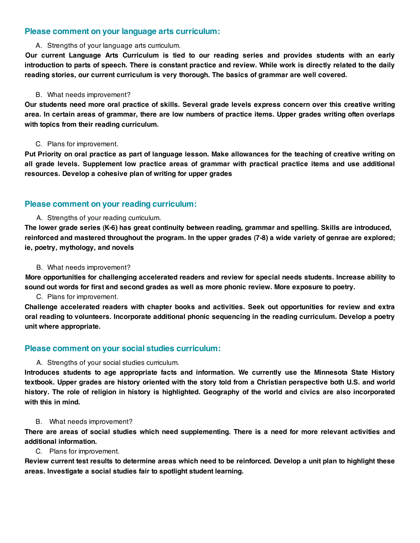### **Please comment on your language arts curriculum:**

#### A. Strengths of your language arts curriculum.

**Our current Language Arts Curriculum is tied to our reading series and provides students with an early** introduction to parts of speech. There is constant practice and review. While work is directly related to the daily **reading stories, our current curriculum is very thorough. The basics of grammar are well covered.**

#### B. What needs improvement?

Our students need more oral practice of skills. Several grade levels express concern over this creative writing area. In certain areas of grammar, there are low numbers of practice items. Upper grades writing often overlaps **with topics from their reading curriculum.**

#### C. Plans for improvement.

Put Priority on oral practice as part of language lesson. Make allowances for the teaching of creative writing on **all grade levels. Supplement low practice areas of grammar with practical practice items and use additional resources. Develop a cohesive plan of writing for upper grades**

### **Please comment on your reading curriculum:**

#### A. Strengths of your reading curriculum.

**The lower grade series (K-6) has great continuity between reading, grammar and spelling. Skills are introduced,** reinforced and mastered throughout the program. In the upper grades (7-8) a wide variety of genrae are explored; **ie, poetry, mythology, and novels**

#### B. What needs improvement?

**More opportunities for challenging accelerated readers and review for special needs students. Increase ability to** sound out words for first and second grades as well as more phonic review. More exposure to poetry.

#### C. Plans for improvement.

**Challenge accelerated readers with chapter books and activities. Seek out opportunities for review and extra oral reading to volunteers. Incorporate additional phonic sequencing in the reading curriculum. Develop a poetry unit where appropriate.**

# **Please comment on your social studies curriculum:**

#### A. Strengths of your social studies curriculum.

**Introduces students to age appropriate facts and information. We currently use the Minnesota State History** textbook. Upper grades are history oriented with the story told from a Christian perspective both U.S. and world history. The role of religion in history is highlighted. Geography of the world and civics are also incorporated **with this in mind.**

#### B. What needs improvement?

There are areas of social studies which need supplementing. There is a need for more relevant activities and **additional information.**

#### C. Plans for improvement.

Review current test results to determine areas which need to be reinforced. Develop a unit plan to highlight these **areas. Investigate a social studies fair to spotlight student learning.**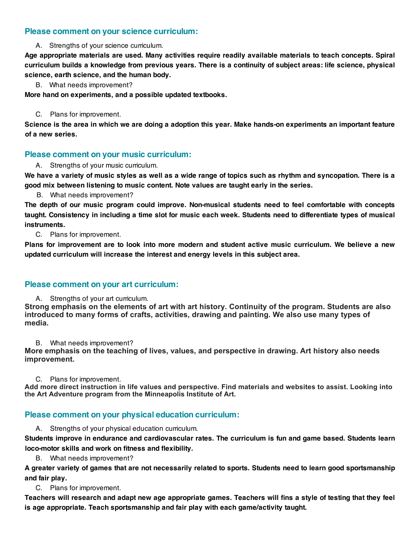# **Please comment on your science curriculum:**

A. Strengths of your science curriculum.

**Age appropriate materials are used. Many activities require readily available materials to teach concepts. Spiral** curriculum builds a knowledge from previous years. There is a continuity of subject areas: life science, physical **science, earth science, and the human body.**

B. What needs improvement?

**More hand on experiments, and a possible updated textbooks.**

C. Plans for improvement.

Science is the area in which we are doing a adoption this year. Make hands-on experiments an important feature **of a new series.**

### **Please comment on your music curriculum:**

A. Strengths of your music curriculum.

We have a variety of music styles as well as a wide range of topics such as rhythm and syncopation. There is a **good mix between listening to music content. Note values are taught early in the series.**

B. What needs improvement?

**The depth of our music program could improve. Non-musical students need to feel comfortable with concepts** taught. Consistency in including a time slot for music each week. Students need to differentiate types of musical **instruments.**

C. Plans for improvement.

Plans for improvement are to look into more modern and student active music curriculum. We believe a new **updated curriculum will increase the interest and energy levels in this subject area.**

# **Please comment on your art curriculum:**

A. Strengths of your art curriculum.

**Strong emphasis on the elements of art with art history. Continuity of the program. Students are also introduced to many forms of crafts, activities, drawing and painting. We also use many types of media.**

B. What needs improvement?

**More emphasis on the teaching of lives, values, and perspective in drawing. Art history also needs improvement.**

C. Plans for improvement.

**Add more direct instruction in life values and perspective. Find materials and websites to assist. Looking into the Art Adventure program from the Minneapolis Institute of Art.**

# **Please comment on your physical education curriculum:**

A. Strengths of your physical education curriculum.

**Students improve in endurance and cardiovascular rates. The curriculum is fun and game based. Students learn loco-motor skills and work on fitness and flexibility.**

B. What needs improvement?

A greater variety of games that are not necessarily related to sports. Students need to learn good sportsmanship **and fair play.**

C. Plans for improvement.

Teachers will research and adapt new age appropriate games. Teachers will fins a style of testing that they feel **is age appropriate. Teach sportsmanship and fair play with each game/activity taught.**